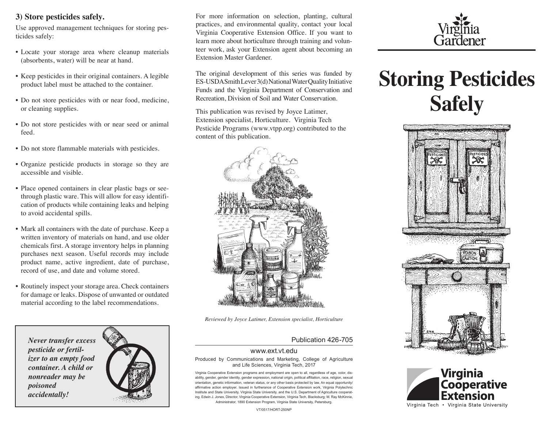# **3) Store pesticides safely.**

Use approved management techniques for storing pesticides safely:

- Locate your storage area where cleanup materials (absorbents, water) will be near at hand.
- Keep pesticides in their original containers. A legible product label must be attached to the container.
- Do not store pesticides with or near food, medicine, or cleaning supplies.
- Do not store pesticides with or near seed or animal feed.
- Do not store flammable materials with pesticides.
- Organize pesticide products in storage so they are accessible and visible.
- Place opened containers in clear plastic bags or seethrough plastic ware. This will allow for easy identification of products while containing leaks and helping to avoid accidental spills.
- Mark all containers with the date of purchase. Keep a written inventory of materials on hand, and use older chemicals first. A storage inventory helps in planning purchases next season. Useful records may include product name, active ingredient, date of purchase, record of use, and date and volume stored.
- Routinely inspect your storage area. Check containers for damage or leaks. Dispose of unwanted or outdated material according to the label recommendations.

*Never transfer excess pesticide or fertilizer to an empty food container. A child or nonreader may be poisoned accidentally!*



For more information on selection, planting, cultural practices, and environmental quality, contact your local Virginia Cooperative Extension Office. If you want to learn more about horticulture through training and volunteer work, ask your Extension agent about becoming an Extension Master Gardener.

The original development of this series was funded by ES-USDA Smith Lever 3(d) National Water Quality Initiative Funds and the Virginia Department of Conservation and Recreation, Division of Soil and Water Conservation.

This publication was revised by Joyce Latimer, Extension specialist, Horticulture. Virginia Tech Pesticide Programs (www.vtpp.org) contributed to the content of this publication.



*Reviewed by Joyce Latimer, Extension specialist, Horticulture*

### Publication 426-705

### www.ext.vt.edu

Produced by Communications and Marketing, College of Agriculture and Life Sciences, Virginia Tech, 2017

Virginia Cooperative Extension programs and employment are open to all, regardless of age, color, disability, gender, gender identity, gender expression, national origin, political affiliation, race, religion, sexual orientation, genetic information, veteran status, or any other basis protected by law. An equal opportunity/ affirmative action employer. Issued in furtherance of Cooperative Extension work, Virginia Polytechnic Institute and State University, Virginia State University, and the U.S. Department of Agriculture cooperating. Edwin J. Jones, Director, Virginia Cooperative Extension, Virginia Tech, Blacksburg; M. Ray McKinnie, Administrator, 1890 Extension Program, Virginia State University, Petersburg.

Gardener

# **Storing Pesticides Safely**





VT/0517/HORT-250NP